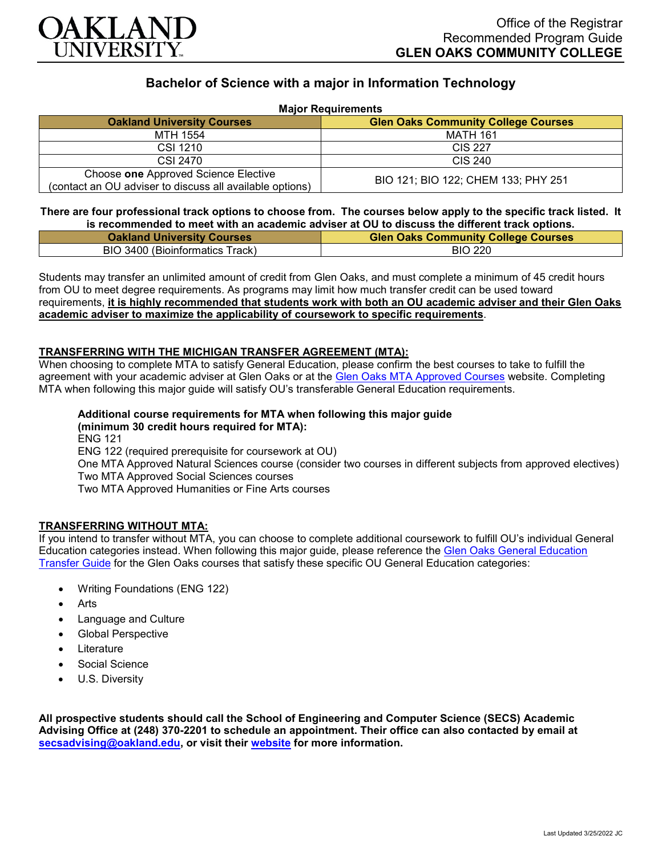

## **Bachelor of Science with a major in Information Technology**

| <b>Major Requirements</b>                                                                        |                                            |
|--------------------------------------------------------------------------------------------------|--------------------------------------------|
| <b>Oakland University Courses</b>                                                                | <b>Glen Oaks Community College Courses</b> |
| MTH 1554                                                                                         | <b>MATH 161</b>                            |
| CSI 1210                                                                                         | <b>CIS 227</b>                             |
| CSI 2470                                                                                         | CIS 240                                    |
| Choose one Approved Science Elective<br>(contact an OU adviser to discuss all available options) | BIO 121; BIO 122; CHEM 133; PHY 251        |

**There are four professional track options to choose from. The courses below apply to the specific track listed. It is recommended to meet with an academic adviser at OU to discuss the different track options.**

| <u>, a reaccumulation to might mini an againtment an right at ee to algebred the annothement springing.</u> |                                            |
|-------------------------------------------------------------------------------------------------------------|--------------------------------------------|
| <b>Oakland University Courses</b>                                                                           | <b>Glen Oaks Community College Courses</b> |
| BIO 3400 (Bioinformatics Track)                                                                             | <b>BIO 220</b>                             |

Students may transfer an unlimited amount of credit from Glen Oaks, and must complete a minimum of 45 credit hours from OU to meet degree requirements. As programs may limit how much transfer credit can be used toward requirements, **it is highly recommended that students work with both an OU academic adviser and their Glen Oaks academic adviser to maximize the applicability of coursework to specific requirements**.

#### **TRANSFERRING WITH THE MICHIGAN TRANSFER AGREEMENT (MTA):**

When choosing to complete MTA to satisfy General Education, please confirm the best courses to take to fulfill the agreement with your academic adviser at Glen Oaks or at the [Glen Oaks MTA Approved Courses](https://www.glenoaks.edu/current-students/registration-records/#MTA) website. Completing MTA when following this major guide will satisfy OU's transferable General Education requirements.

# **Additional course requirements for MTA when following this major guide**

**(minimum 30 credit hours required for MTA):** ENG 121 ENG 122 (required prerequisite for coursework at OU) One MTA Approved Natural Sciences course (consider two courses in different subjects from approved electives) Two MTA Approved Social Sciences courses Two MTA Approved Humanities or Fine Arts courses

#### **TRANSFERRING WITHOUT MTA:**

If you intend to transfer without MTA, you can choose to complete additional coursework to fulfill OU's individual General Education categories instead. When following this major guide, please reference the [Glen Oaks General Education](https://www.oakland.edu/Assets/Oakland/program-guides/glen-oaks-community-college/university-general-education-requirements/Glen%20Oaks%20Gen%20Ed.pdf)  [Transfer Guide](https://www.oakland.edu/Assets/Oakland/program-guides/glen-oaks-community-college/university-general-education-requirements/Glen%20Oaks%20Gen%20Ed.pdf) for the Glen Oaks courses that satisfy these specific OU General Education categories:

- Writing Foundations (ENG 122)
- Arts
- Language and Culture
- Global Perspective
- **Literature**
- Social Science
- U.S. Diversity

**All prospective students should call the School of Engineering and Computer Science (SECS) Academic Advising Office at (248) 370-2201 to schedule an appointment. Their office can also contacted by email at [secsadvising@oakland.edu,](mailto:secsadvising@oakland.edu) or visit their [website](https://wwwp.oakland.edu/secs/advising/) for more information.**